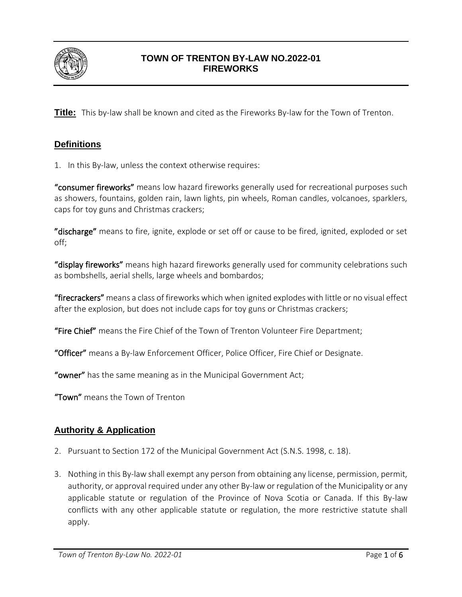

## **TOWN OF TRENTON BY-LAW NO.2022-01 FIREWORKS**

**Title:** This by-law shall be known and cited as the Fireworks By-law for the Town of Trenton.

## **Definitions**

1. In this By-law, unless the context otherwise requires:

"consumer fireworks" means low hazard fireworks generally used for recreational purposes such as showers, fountains, golden rain, lawn lights, pin wheels, Roman candles, volcanoes, sparklers, caps for toy guns and Christmas crackers;

"discharge" means to fire, ignite, explode or set off or cause to be fired, ignited, exploded or set off;

"display fireworks" means high hazard fireworks generally used for community celebrations such as bombshells, aerial shells, large wheels and bombardos;

"firecrackers" means a class of fireworks which when ignited explodes with little or no visual effect after the explosion, but does not include caps for toy guns or Christmas crackers;

"Fire Chief" means the Fire Chief of the Town of Trenton Volunteer Fire Department;

"Officer" means a By-law Enforcement Officer, Police Officer, Fire Chief or Designate.

"owner" has the same meaning as in the Municipal Government Act;

"Town" means the Town of Trenton

#### **Authority & Application**

- 2. Pursuant to Section 172 of the Municipal Government Act (S.N.S. 1998, c. 18).
- 3. Nothing in this By-law shall exempt any person from obtaining any license, permission, permit, authority, or approval required under any other By-law or regulation of the Municipality or any applicable statute or regulation of the Province of Nova Scotia or Canada. If this By-law conflicts with any other applicable statute or regulation, the more restrictive statute shall apply.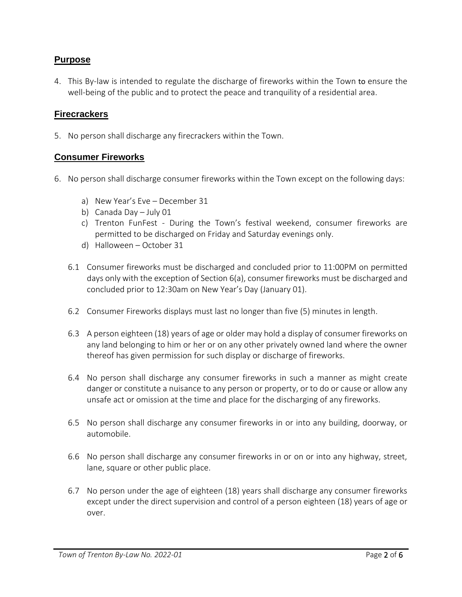### **Purpose**

4. This By-law is intended to regulate the discharge of fireworks within the Town to ensure the well-being of the public and to protect the peace and tranquility of a residential area.

#### **Firecrackers**

5. No person shall discharge any firecrackers within the Town.

#### **Consumer Fireworks**

- 6. No person shall discharge consumer fireworks within the Town except on the following days:
	- a) New Year's Eve December 31
	- b) Canada Day July 01
	- c) Trenton FunFest During the Town's festival weekend, consumer fireworks are permitted to be discharged on Friday and Saturday evenings only.
	- d) Halloween October 31
	- 6.1 Consumer fireworks must be discharged and concluded prior to 11:00PM on permitted days only with the exception of Section 6(a), consumer fireworks must be discharged and concluded prior to 12:30am on New Year's Day (January 01).
	- 6.2 Consumer Fireworks displays must last no longer than five (5) minutes in length.
	- 6.3 A person eighteen (18) years of age or older may hold a display of consumer fireworks on any land belonging to him or her or on any other privately owned land where the owner thereof has given permission for such display or discharge of fireworks.
	- 6.4 No person shall discharge any consumer fireworks in such a manner as might create danger or constitute a nuisance to any person or property, or to do or cause or allow any unsafe act or omission at the time and place for the discharging of any fireworks.
	- 6.5 No person shall discharge any consumer fireworks in or into any building, doorway, or automobile.
	- 6.6 No person shall discharge any consumer fireworks in or on or into any highway, street, lane, square or other public place.
	- 6.7 No person under the age of eighteen (18) years shall discharge any consumer fireworks except under the direct supervision and control of a person eighteen (18) years of age or over.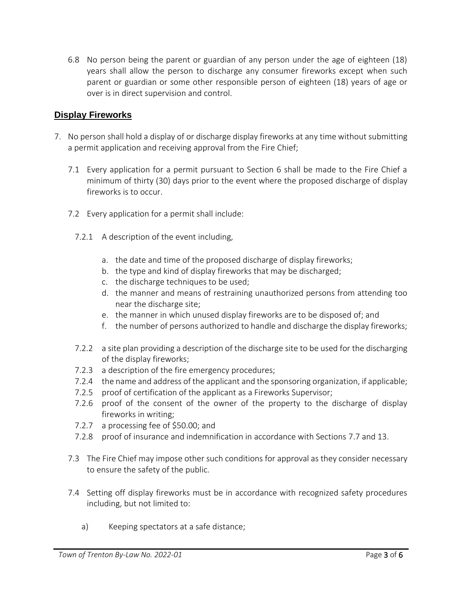6.8 No person being the parent or guardian of any person under the age of eighteen (18) years shall allow the person to discharge any consumer fireworks except when such parent or guardian or some other responsible person of eighteen (18) years of age or over is in direct supervision and control.

### **Display Fireworks**

- 7. No person shall hold a display of or discharge display fireworks at any time without submitting a permit application and receiving approval from the Fire Chief;
	- 7.1 Every application for a permit pursuant to Section 6 shall be made to the Fire Chief a minimum of thirty (30) days prior to the event where the proposed discharge of display fireworks is to occur.
	- 7.2 Every application for a permit shall include:
		- 7.2.1 A description of the event including,
			- a. the date and time of the proposed discharge of display fireworks;
			- b. the type and kind of display fireworks that may be discharged;
			- c. the discharge techniques to be used;
			- d. the manner and means of restraining unauthorized persons from attending too near the discharge site;
			- e. the manner in which unused display fireworks are to be disposed of; and
			- f. the number of persons authorized to handle and discharge the display fireworks;
		- 7.2.2 a site plan providing a description of the discharge site to be used for the discharging of the display fireworks;
		- 7.2.3 a description of the fire emergency procedures;
		- 7.2.4 the name and address of the applicant and the sponsoring organization, if applicable;
		- 7.2.5 proof of certification of the applicant as a Fireworks Supervisor;
		- 7.2.6 proof of the consent of the owner of the property to the discharge of display fireworks in writing;
		- 7.2.7 a processing fee of \$50.00; and
		- 7.2.8 proof of insurance and indemnification in accordance with Sections 7.7 and 13.
	- 7.3 The Fire Chief may impose other such conditions for approval as they consider necessary to ensure the safety of the public.
	- 7.4 Setting off display fireworks must be in accordance with recognized safety procedures including, but not limited to:
		- a) Keeping spectators at a safe distance;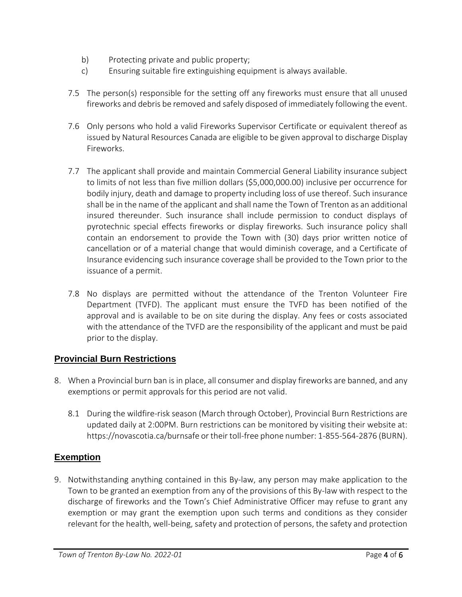- b) Protecting private and public property;
- c) Ensuring suitable fire extinguishing equipment is always available.
- 7.5 The person(s) responsible for the setting off any fireworks must ensure that all unused fireworks and debris be removed and safely disposed of immediately following the event.
- 7.6 Only persons who hold a valid Fireworks Supervisor Certificate or equivalent thereof as issued by Natural Resources Canada are eligible to be given approval to discharge Display Fireworks.
- 7.7 The applicant shall provide and maintain Commercial General Liability insurance subject to limits of not less than five million dollars (\$5,000,000.00) inclusive per occurrence for bodily injury, death and damage to property including loss of use thereof. Such insurance shall be in the name of the applicant and shall name the Town of Trenton as an additional insured thereunder. Such insurance shall include permission to conduct displays of pyrotechnic special effects fireworks or display fireworks. Such insurance policy shall contain an endorsement to provide the Town with (30) days prior written notice of cancellation or of a material change that would diminish coverage, and a Certificate of Insurance evidencing such insurance coverage shall be provided to the Town prior to the issuance of a permit.
- 7.8 No displays are permitted without the attendance of the Trenton Volunteer Fire Department (TVFD). The applicant must ensure the TVFD has been notified of the approval and is available to be on site during the display. Any fees or costs associated with the attendance of the TVFD are the responsibility of the applicant and must be paid prior to the display.

## **Provincial Burn Restrictions**

- 8. When a Provincial burn ban is in place, all consumer and display fireworks are banned, and any exemptions or permit approvals for this period are not valid.
	- 8.1 During the wildfire-risk season (March through October), Provincial Burn Restrictions are updated daily at 2:00PM. Burn restrictions can be monitored by visiting their website at: https://novascotia.ca/burnsafe or their toll-free phone number: 1-855-564-2876 (BURN).

## **Exemption**

9. Notwithstanding anything contained in this By-law, any person may make application to the Town to be granted an exemption from any of the provisions of this By-law with respect to the discharge of fireworks and the Town's Chief Administrative Officer may refuse to grant any exemption or may grant the exemption upon such terms and conditions as they consider relevant for the health, well-being, safety and protection of persons, the safety and protection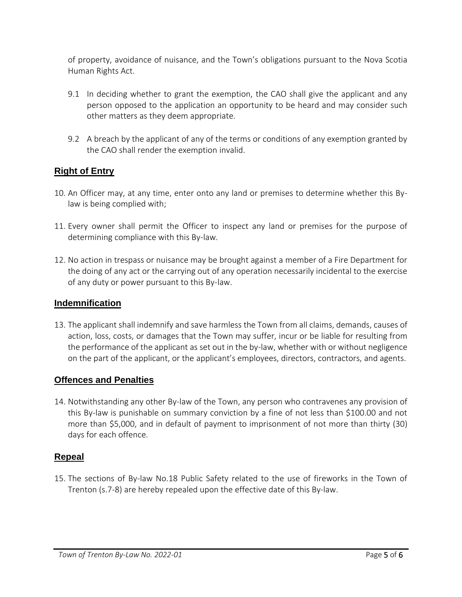of property, avoidance of nuisance, and the Town's obligations pursuant to the Nova Scotia Human Rights Act.

- 9.1 In deciding whether to grant the exemption, the CAO shall give the applicant and any person opposed to the application an opportunity to be heard and may consider such other matters as they deem appropriate.
- 9.2 A breach by the applicant of any of the terms or conditions of any exemption granted by the CAO shall render the exemption invalid.

# **Right of Entry**

- 10. An Officer may, at any time, enter onto any land or premises to determine whether this Bylaw is being complied with;
- 11. Every owner shall permit the Officer to inspect any land or premises for the purpose of determining compliance with this By-law.
- 12. No action in trespass or nuisance may be brought against a member of a Fire Department for the doing of any act or the carrying out of any operation necessarily incidental to the exercise of any duty or power pursuant to this By-law.

#### **Indemnification**

13. The applicant shall indemnify and save harmless the Town from all claims, demands, causes of action, loss, costs, or damages that the Town may suffer, incur or be liable for resulting from the performance of the applicant as set out in the by-law, whether with or without negligence on the part of the applicant, or the applicant's employees, directors, contractors, and agents.

#### **Offences and Penalties**

14. Notwithstanding any other By-law of the Town, any person who contravenes any provision of this By-law is punishable on summary conviction by a fine of not less than \$100.00 and not more than \$5,000, and in default of payment to imprisonment of not more than thirty (30) days for each offence.

## **Repeal**

15. The sections of By-law No.18 Public Safety related to the use of fireworks in the Town of Trenton (s.7-8) are hereby repealed upon the effective date of this By-law.